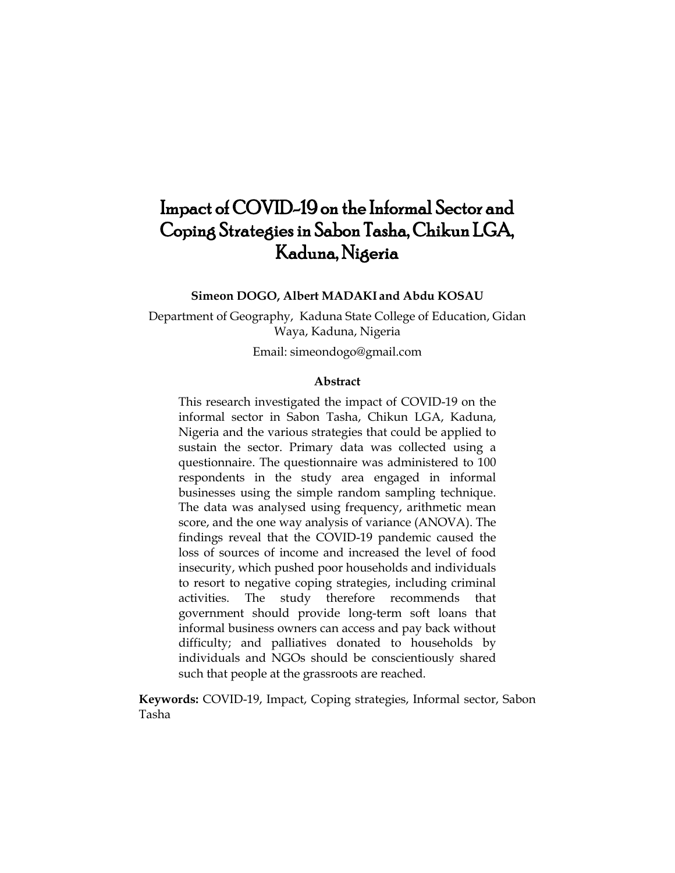# Impact of COVID-19 on the Informal Sector and Coping Strategies in Sabon Tasha, Chikun LGA, Kaduna, Nigeria

**Simeon DOGO, Albert MADAKI and Abdu KOSAU**

Department of Geography, Kaduna State College of Education, Gidan Waya, Kaduna, Nigeria

Email: [simeondogo@gmail.com](mailto:simeondogo@gmail.com)

# **Abstract**

This research investigated the impact of COVID-19 on the informal sector in Sabon Tasha, Chikun LGA, Kaduna, Nigeria and the various strategies that could be applied to sustain the sector. Primary data was collected using a questionnaire. The questionnaire was administered to 100 respondents in the study area engaged in informal businesses using the simple random sampling technique. The data was analysed using frequency, arithmetic mean score, and the one way analysis of variance (ANOVA). The findings reveal that the COVID-19 pandemic caused the loss of sources of income and increased the level of food insecurity, which pushed poor households and individuals to resort to negative coping strategies, including criminal activities. The study therefore recommends that government should provide long-term soft loans that informal business owners can access and pay back without difficulty; and palliatives donated to households by individuals and NGOs should be conscientiously shared such that people at the grassroots are reached.

**Keywords:** COVID-19, Impact, Coping strategies, Informal sector, Sabon Tasha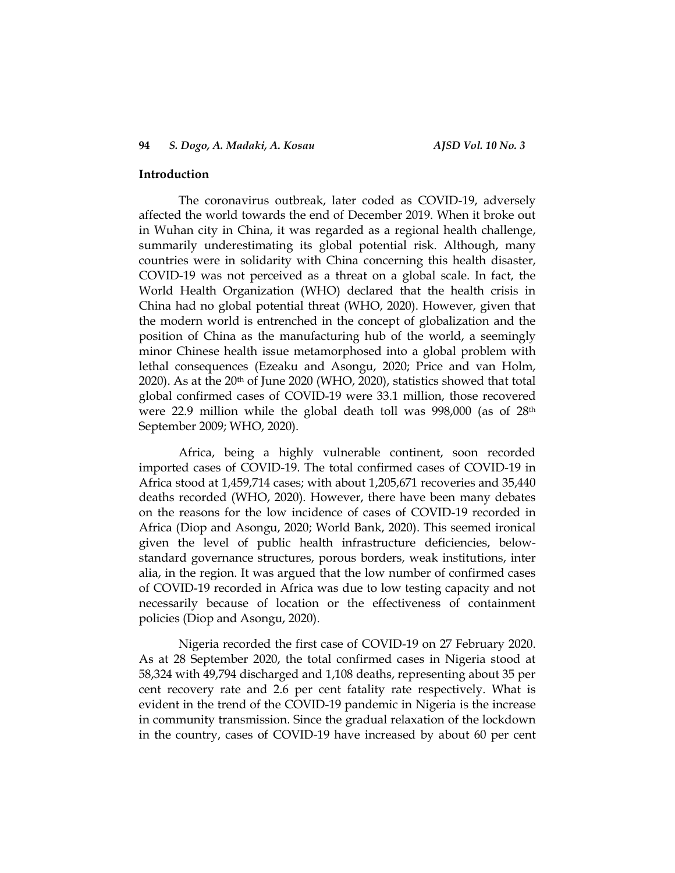### **Introduction**

The coronavirus outbreak, later coded as COVID-19, adversely affected the world towards the end of December 2019. When it broke out in Wuhan city in China, it was regarded as a regional health challenge, summarily underestimating its global potential risk. Although, many countries were in solidarity with China concerning this health disaster, COVID-19 was not perceived as a threat on a global scale. In fact, the World Health Organization (WHO) declared that the health crisis in China had no global potential threat (WHO, 2020). However, given that the modern world is entrenched in the concept of globalization and the position of China as the manufacturing hub of the world, a seemingly minor Chinese health issue metamorphosed into a global problem with lethal consequences (Ezeaku and Asongu, 2020; Price and van Holm, 2020). As at the 20th of June 2020 (WHO, 2020), statistics showed that total global confirmed cases of COVID-19 were 33.1 million, those recovered were 22.9 million while the global death toll was 998,000 (as of 28th September 2009; WHO, 2020).

Africa, being a highly vulnerable continent, soon recorded imported cases of COVID-19. The total confirmed cases of COVID-19 in Africa stood at 1,459,714 cases; with about 1,205,671 recoveries and 35,440 deaths recorded (WHO, 2020). However, there have been many debates on the reasons for the low incidence of cases of COVID-19 recorded in Africa (Diop and Asongu, 2020; World Bank, 2020). This seemed ironical given the level of public health infrastructure deficiencies, belowstandard governance structures, porous borders, weak institutions, inter alia, in the region. It was argued that the low number of confirmed cases of COVID-19 recorded in Africa was due to low testing capacity and not necessarily because of location or the effectiveness of containment policies (Diop and Asongu, 2020).

Nigeria recorded the first case of COVID-19 on 27 February 2020. As at 28 September 2020, the total confirmed cases in Nigeria stood at 58,324 with 49,794 discharged and 1,108 deaths, representing about 35 per cent recovery rate and 2.6 per cent fatality rate respectively. What is evident in the trend of the COVID-19 pandemic in Nigeria is the increase in community transmission. Since the gradual relaxation of the lockdown in the country, cases of COVID-19 have increased by about 60 per cent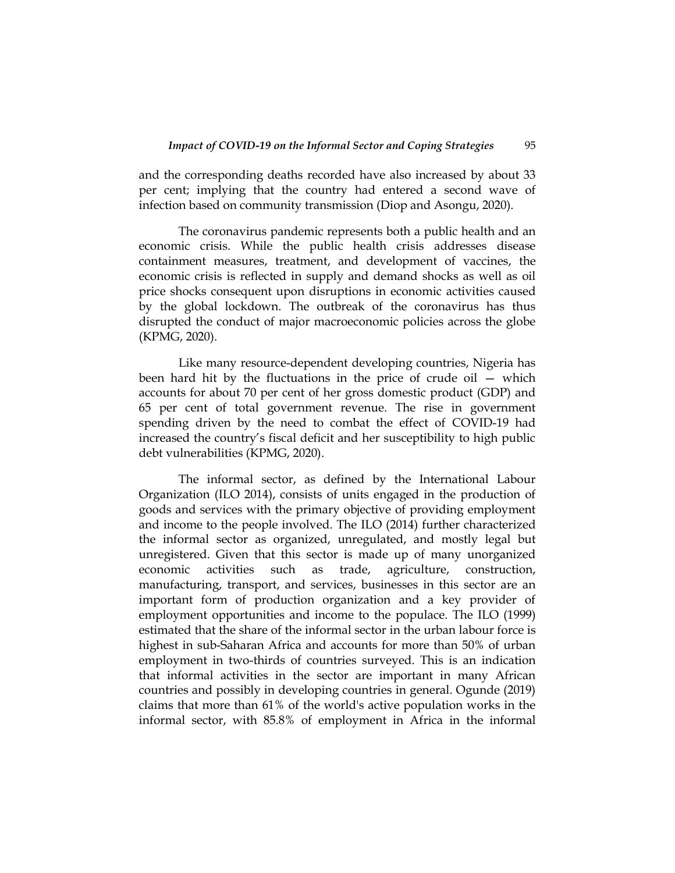and the corresponding deaths recorded have also increased by about 33 per cent; implying that the country had entered a second wave of infection based on community transmission (Diop and Asongu, 2020).

The coronavirus pandemic represents both a public health and an economic crisis. While the public health crisis addresses disease containment measures, treatment, and development of vaccines, the economic crisis is reflected in supply and demand shocks as well as oil price shocks consequent upon disruptions in economic activities caused by the global lockdown. The outbreak of the coronavirus has thus disrupted the conduct of major macroeconomic policies across the globe (KPMG, 2020).

Like many resource-dependent developing countries, Nigeria has been hard hit by the fluctuations in the price of crude oil — which accounts for about 70 per cent of her gross domestic product (GDP) and 65 per cent of total government revenue. The rise in government spending driven by the need to combat the effect of COVID-19 had increased the country's fiscal deficit and her susceptibility to high public debt vulnerabilities (KPMG, 2020).

The informal sector, as defined by the International Labour Organization (ILO 2014), consists of units engaged in the production of goods and services with the primary objective of providing employment and income to the people involved. The ILO (2014) further characterized the informal sector as organized, unregulated, and mostly legal but unregistered. Given that this sector is made up of many unorganized economic activities such as trade, agriculture, construction, manufacturing, transport, and services, businesses in this sector are an important form of production organization and a key provider of employment opportunities and income to the populace. The ILO (1999) estimated that the share of the informal sector in the urban labour force is highest in sub-Saharan Africa and accounts for more than 50% of urban employment in two-thirds of countries surveyed. This is an indication that informal activities in the sector are important in many African countries and possibly in developing countries in general. Ogunde (2019) claims that more than 61% of the world's active population works in the informal sector, with 85.8% of employment in Africa in the informal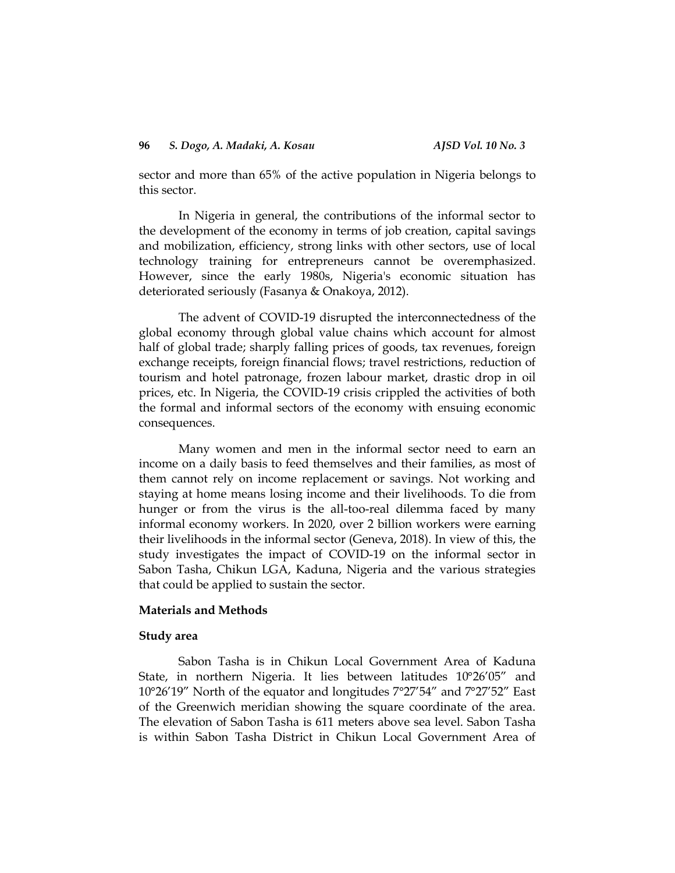sector and more than 65% of the active population in Nigeria belongs to this sector.

In Nigeria in general, the contributions of the informal sector to the development of the economy in terms of job creation, capital savings and mobilization, efficiency, strong links with other sectors, use of local technology training for entrepreneurs cannot be overemphasized. However, since the early 1980s, Nigeria's economic situation has deteriorated seriously (Fasanya & Onakoya, 2012).

The advent of COVID-19 disrupted the interconnectedness of the global economy through global value chains which account for almost half of global trade; sharply falling prices of goods, tax revenues, foreign exchange receipts, foreign financial flows; travel restrictions, reduction of tourism and hotel patronage, frozen labour market, drastic drop in oil prices, etc. In Nigeria, the COVID-19 crisis crippled the activities of both the formal and informal sectors of the economy with ensuing economic consequences.

Many women and men in the informal sector need to earn an income on a daily basis to feed themselves and their families, as most of them cannot rely on income replacement or savings. Not working and staying at home means losing income and their livelihoods. To die from hunger or from the virus is the all-too-real dilemma faced by many informal economy workers. In 2020, over 2 billion workers were earning their livelihoods in the informal sector (Geneva, 2018). In view of this, the study investigates the impact of COVID-19 on the informal sector in Sabon Tasha, Chikun LGA, Kaduna, Nigeria and the various strategies that could be applied to sustain the sector.

### **Materials and Methods**

### **Study area**

Sabon Tasha is in Chikun Local Government Area of Kaduna State, in northern Nigeria. It lies between latitudes 10°26'05" and 10°26'19" North of the equator and longitudes 7°27'54" and 7°27'52" East of the Greenwich meridian showing the square coordinate of the area. The elevation of Sabon Tasha is 611 meters above sea level. Sabon Tasha is within Sabon Tasha District in Chikun Local Government Area of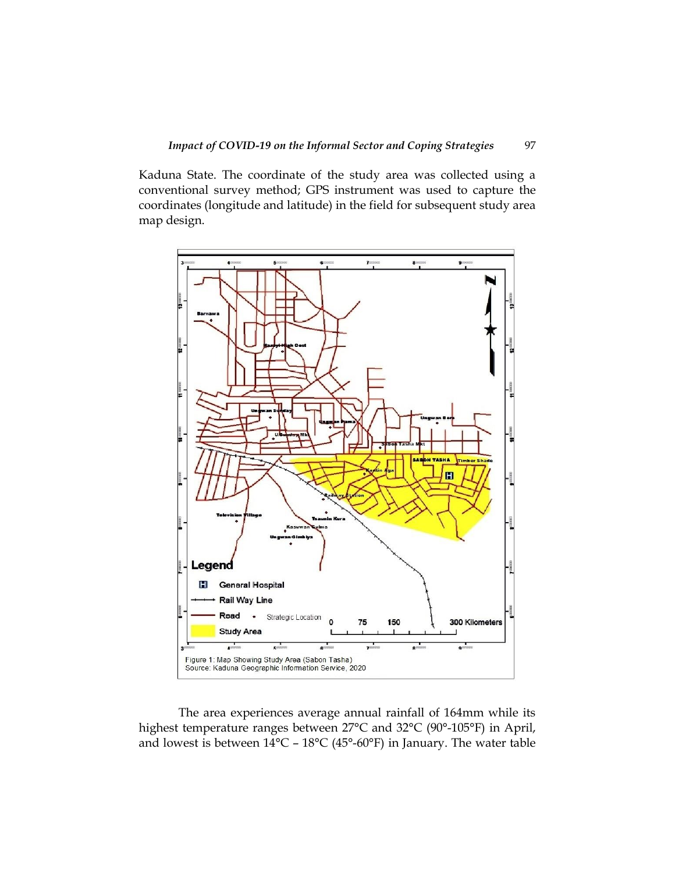Kaduna State. The coordinate of the study area was collected using a conventional survey method; GPS instrument was used to capture the coordinates (longitude and latitude) in the field for subsequent study area map design.



The area experiences average annual rainfall of 164mm while its highest temperature ranges between 27°C and 32°C (90°-105°F) in April, and lowest is between 14°C – 18°C (45°-60°F) in January. The water table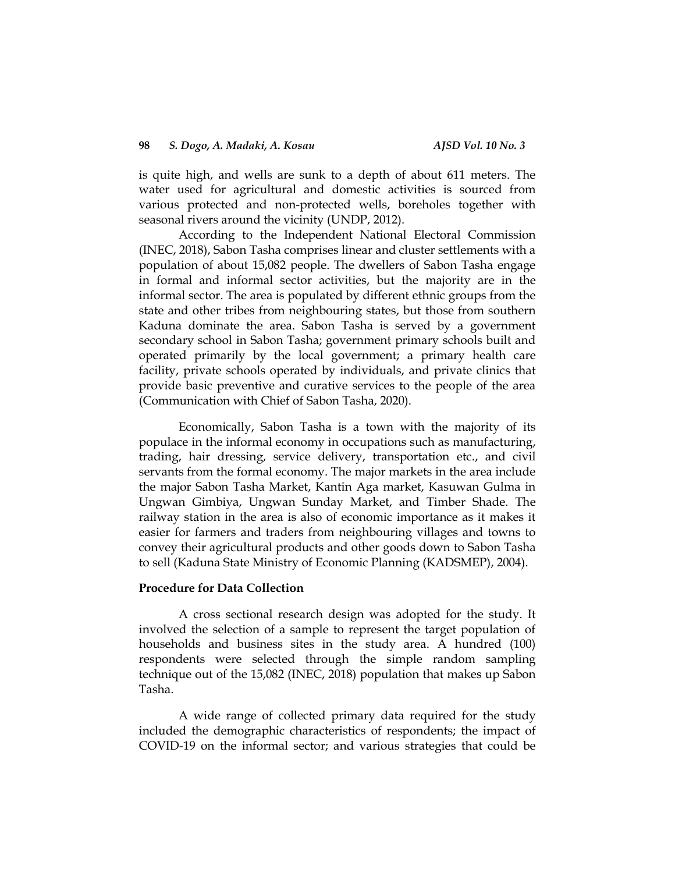is quite high, and wells are sunk to a depth of about 611 meters. The water used for agricultural and domestic activities is sourced from various protected and non-protected wells, boreholes together with seasonal rivers around the vicinity (UNDP, 2012).

According to the Independent National Electoral Commission (INEC, 2018), Sabon Tasha comprises linear and cluster settlements with a population of about 15,082 people. The dwellers of Sabon Tasha engage in formal and informal sector activities, but the majority are in the informal sector. The area is populated by different ethnic groups from the state and other tribes from neighbouring states, but those from southern Kaduna dominate the area. Sabon Tasha is served by a government secondary school in Sabon Tasha; government primary schools built and operated primarily by the local government; a primary health care facility, private schools operated by individuals, and private clinics that provide basic preventive and curative services to the people of the area (Communication with Chief of Sabon Tasha, 2020).

Economically, Sabon Tasha is a town with the majority of its populace in the informal economy in occupations such as manufacturing, trading, hair dressing, service delivery, transportation etc., and civil servants from the formal economy. The major markets in the area include the major Sabon Tasha Market, Kantin Aga market, Kasuwan Gulma in Ungwan Gimbiya, Ungwan Sunday Market, and Timber Shade. The railway station in the area is also of economic importance as it makes it easier for farmers and traders from neighbouring villages and towns to convey their agricultural products and other goods down to Sabon Tasha to sell (Kaduna State Ministry of Economic Planning (KADSMEP), 2004).

# **Procedure for Data Collection**

A cross sectional research design was adopted for the study. It involved the selection of a sample to represent the target population of households and business sites in the study area. A hundred (100) respondents were selected through the simple random sampling technique out of the 15,082 (INEC, 2018) population that makes up Sabon Tasha.

A wide range of collected primary data required for the study included the demographic characteristics of respondents; the impact of COVID-19 on the informal sector; and various strategies that could be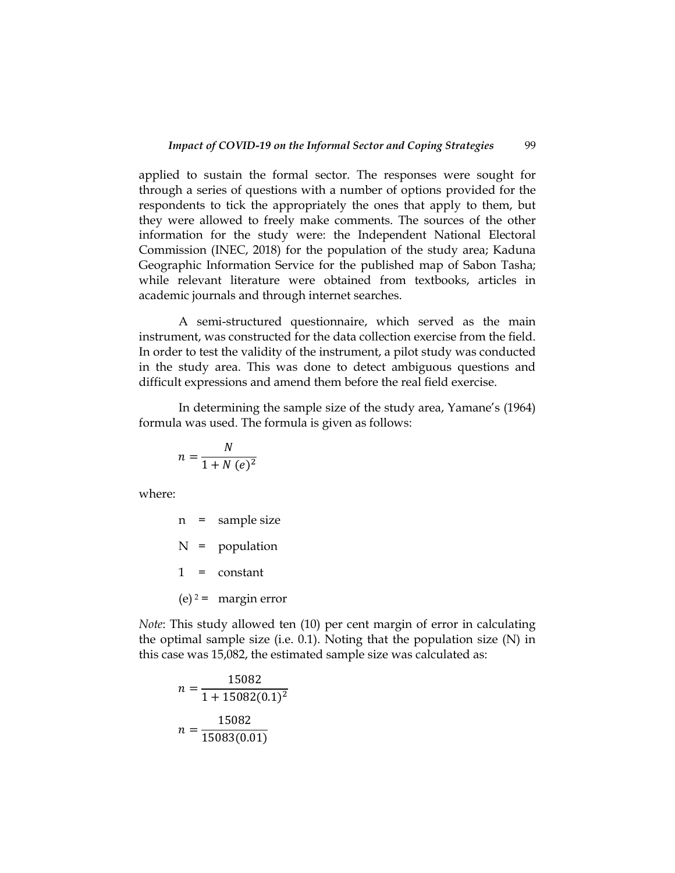applied to sustain the formal sector. The responses were sought for through a series of questions with a number of options provided for the respondents to tick the appropriately the ones that apply to them, but they were allowed to freely make comments. The sources of the other information for the study were: the Independent National Electoral Commission (INEC, 2018) for the population of the study area; Kaduna Geographic Information Service for the published map of Sabon Tasha; while relevant literature were obtained from textbooks, articles in academic journals and through internet searches.

A semi-structured questionnaire, which served as the main instrument, was constructed for the data collection exercise from the field. In order to test the validity of the instrument, a pilot study was conducted in the study area. This was done to detect ambiguous questions and difficult expressions and amend them before the real field exercise.

In determining the sample size of the study area, Yamane's (1964) formula was used. The formula is given as follows:

$$
n = \frac{N}{1 + N\left(e\right)^2}
$$

where:

n = sample size N = population 1 = constant (e)  $2 = \text{margin error}$ 

*Note*: This study allowed ten (10) per cent margin of error in calculating the optimal sample size (i.e. 0.1). Noting that the population size (N) in this case was 15,082, the estimated sample size was calculated as:

$$
n = \frac{15082}{1 + 15082(0.1)^2}
$$

$$
n = \frac{15082}{15083(0.01)}
$$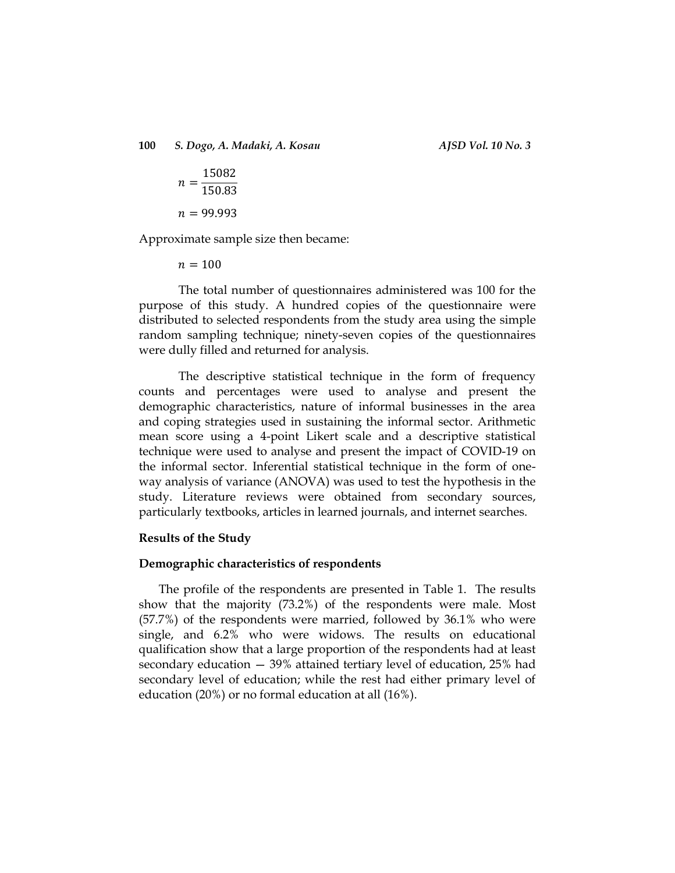$\boldsymbol{n}$  $\mathbf{1}$  $\mathbf{1}$  $n = 99.993$ 

Approximate sample size then became:

 $n = 100$ 

The total number of questionnaires administered was 100 for the purpose of this study. A hundred copies of the questionnaire were distributed to selected respondents from the study area using the simple random sampling technique; ninety-seven copies of the questionnaires were dully filled and returned for analysis.

The descriptive statistical technique in the form of frequency counts and percentages were used to analyse and present the demographic characteristics, nature of informal businesses in the area and coping strategies used in sustaining the informal sector. Arithmetic mean score using a 4-point Likert scale and a descriptive statistical technique were used to analyse and present the impact of COVID-19 on the informal sector. Inferential statistical technique in the form of oneway analysis of variance (ANOVA) was used to test the hypothesis in the study. Literature reviews were obtained from secondary sources, particularly textbooks, articles in learned journals, and internet searches.

### **Results of the Study**

### **Demographic characteristics of respondents**

The profile of the respondents are presented in Table 1. The results show that the majority (73.2%) of the respondents were male. Most (57.7%) of the respondents were married, followed by 36.1% who were single, and 6.2% who were widows. The results on educational qualification show that a large proportion of the respondents had at least secondary education — 39% attained tertiary level of education, 25% had secondary level of education; while the rest had either primary level of education (20%) or no formal education at all (16%).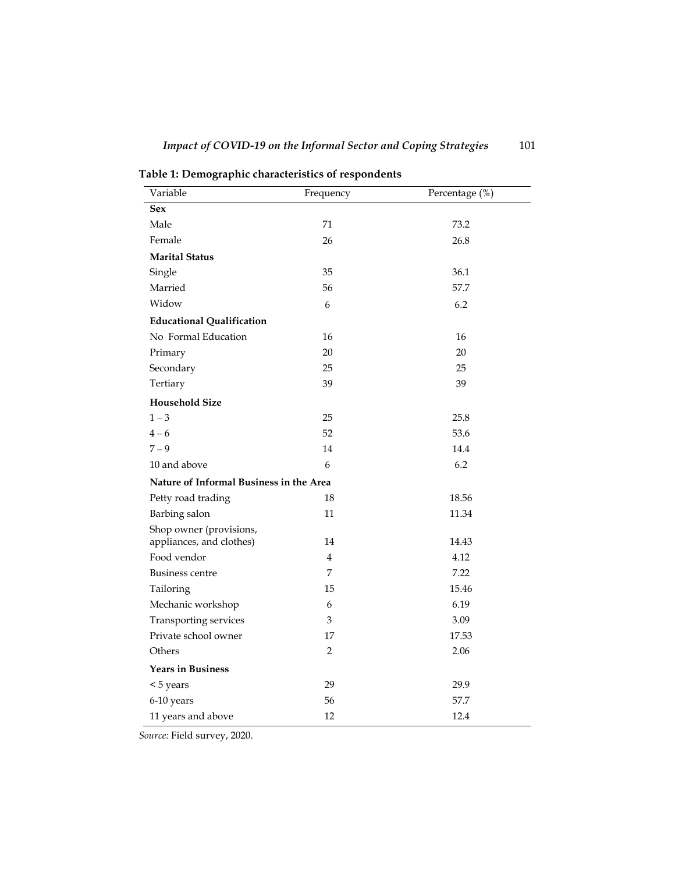| Variable                                | Frequency      | Percentage (%) |
|-----------------------------------------|----------------|----------------|
| <b>Sex</b>                              |                |                |
| Male                                    | 71             | 73.2           |
| Female                                  | 26             | 26.8           |
| <b>Marital Status</b>                   |                |                |
| Single                                  | 35             | 36.1           |
| Married                                 | 56             | 57.7           |
| Widow                                   | 6              | 6.2            |
| <b>Educational Qualification</b>        |                |                |
| No Formal Education                     | 16             | 16             |
| Primary                                 | 20             | 20             |
| Secondary                               | 25             | 25             |
| Tertiary                                | 39             | 39             |
| <b>Household Size</b>                   |                |                |
| $1 - 3$                                 | 25             | 25.8           |
| $4 - 6$                                 | 52             | 53.6           |
| $7 - 9$                                 | 14             | 14.4           |
| 10 and above                            | 6              | 6.2            |
| Nature of Informal Business in the Area |                |                |
| Petty road trading                      | 18             | 18.56          |
| Barbing salon                           | 11             | 11.34          |
| Shop owner (provisions,                 |                |                |
| appliances, and clothes)                | 14             | 14.43          |
| Food vendor                             | $\overline{4}$ | 4.12           |
| <b>Business centre</b>                  | $\overline{7}$ | 7.22           |
| Tailoring                               | 15             | 15.46          |
| Mechanic workshop                       | 6              | 6.19           |
| Transporting services                   | 3              | 3.09           |
| Private school owner                    | 17             | 17.53          |
| Others                                  | $\overline{2}$ | 2.06           |
| <b>Years in Business</b>                |                |                |
| < 5 years                               | 29             | 29.9           |
| 6-10 years                              | 56             | 57.7           |
| 11 years and above                      | 12             | 12.4           |

**Table 1: Demographic characteristics of respondents** 

*Source:* Field survey, 2020.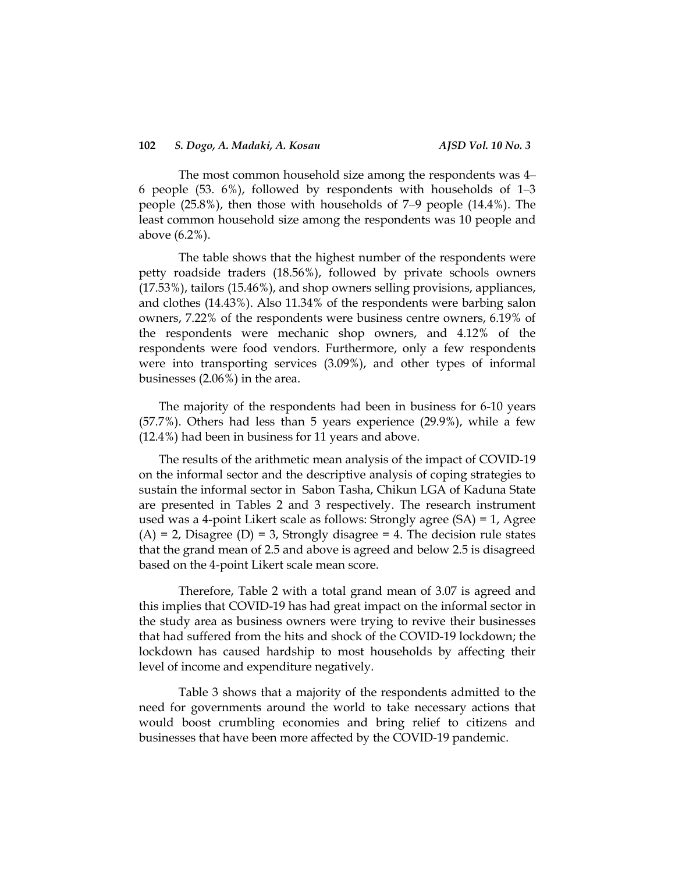The most common household size among the respondents was 4– 6 people (53.  $6\%$ ), followed by respondents with households of  $1-3$ people (25.8%), then those with households of 7‒9 people (14.4%). The least common household size among the respondents was 10 people and above (6.2%).

The table shows that the highest number of the respondents were petty roadside traders (18.56%), followed by private schools owners (17.53%), tailors (15.46%), and shop owners selling provisions, appliances, and clothes (14.43%). Also 11.34% of the respondents were barbing salon owners, 7.22% of the respondents were business centre owners, 6.19% of the respondents were mechanic shop owners, and 4.12% of the respondents were food vendors. Furthermore, only a few respondents were into transporting services (3.09%), and other types of informal businesses (2.06%) in the area.

The majority of the respondents had been in business for 6-10 years (57.7%). Others had less than 5 years experience (29.9%), while a few (12.4%) had been in business for 11 years and above.

The results of the arithmetic mean analysis of the impact of COVID-19 on the informal sector and the descriptive analysis of coping strategies to sustain the informal sector in Sabon Tasha, Chikun LGA of Kaduna State are presented in Tables 2 and 3 respectively. The research instrument used was a 4-point Likert scale as follows: Strongly agree (SA) = 1, Agree  $(A) = 2$ , Disagree  $(D) = 3$ , Strongly disagree = 4. The decision rule states that the grand mean of 2.5 and above is agreed and below 2.5 is disagreed based on the 4-point Likert scale mean score.

Therefore, Table 2 with a total grand mean of 3.07 is agreed and this implies that COVID-19 has had great impact on the informal sector in the study area as business owners were trying to revive their businesses that had suffered from the hits and shock of the COVID-19 lockdown; the lockdown has caused hardship to most households by affecting their level of income and expenditure negatively.

Table 3 shows that a majority of the respondents admitted to the need for governments around the world to take necessary actions that would boost crumbling economies and bring relief to citizens and businesses that have been more affected by the COVID-19 pandemic.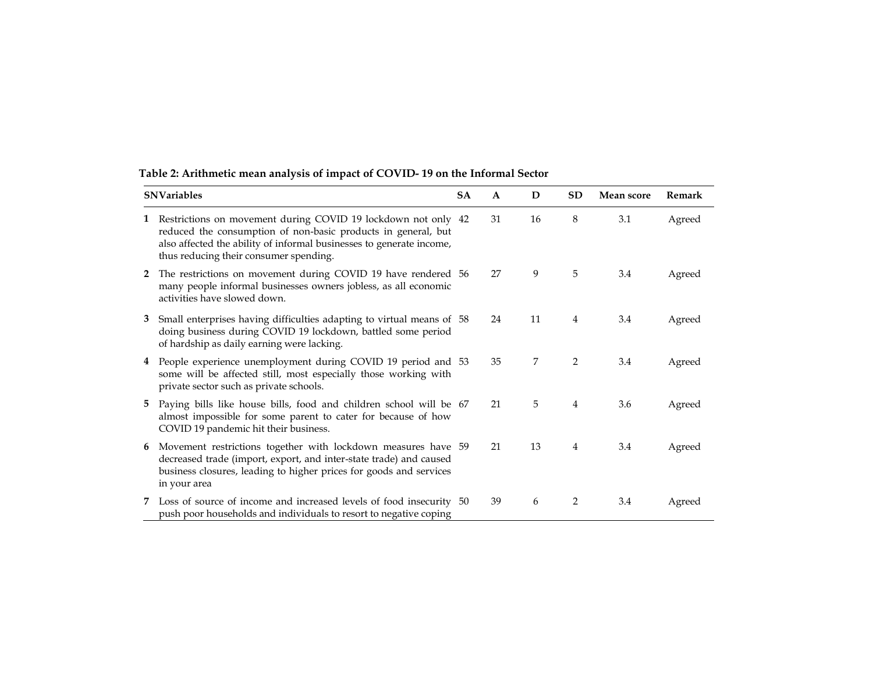| <b>SNVariables</b> |                                                                                                                                                                                                                                                  | <b>SA</b> | A  | D  | <b>SD</b>      | <b>Mean score</b> | Remark |
|--------------------|--------------------------------------------------------------------------------------------------------------------------------------------------------------------------------------------------------------------------------------------------|-----------|----|----|----------------|-------------------|--------|
| 1                  | Restrictions on movement during COVID 19 lockdown not only 42<br>reduced the consumption of non-basic products in general, but<br>also affected the ability of informal businesses to generate income,<br>thus reducing their consumer spending. |           | 31 | 16 | 8              | 3.1               | Agreed |
| $\mathbf{2}$       | The restrictions on movement during COVID 19 have rendered 56<br>many people informal businesses owners jobless, as all economic<br>activities have slowed down.                                                                                 |           | 27 | 9  | 5              | 3.4               | Agreed |
| 3                  | Small enterprises having difficulties adapting to virtual means of 58<br>doing business during COVID 19 lockdown, battled some period<br>of hardship as daily earning were lacking.                                                              |           | 24 | 11 | 4              | 3.4               | Agreed |
| $\overline{4}$     | People experience unemployment during COVID 19 period and 53<br>some will be affected still, most especially those working with<br>private sector such as private schools.                                                                       |           | 35 | 7  | $\overline{2}$ | 3.4               | Agreed |
| 5                  | Paying bills like house bills, food and children school will be 67<br>almost impossible for some parent to cater for because of how<br>COVID 19 pandemic hit their business.                                                                     |           | 21 | 5  | 4              | 3.6               | Agreed |
| 6                  | Movement restrictions together with lockdown measures have 59<br>decreased trade (import, export, and inter-state trade) and caused<br>business closures, leading to higher prices for goods and services<br>in your area                        |           | 21 | 13 | 4              | 3.4               | Agreed |
| 7                  | Loss of source of income and increased levels of food insecurity 50<br>push poor households and individuals to resort to negative coping                                                                                                         |           | 39 | 6  | 2              | 3.4               | Agreed |

# **Table 2: Arithmetic mean analysis of impact of COVID- 19 on the Informal Sector**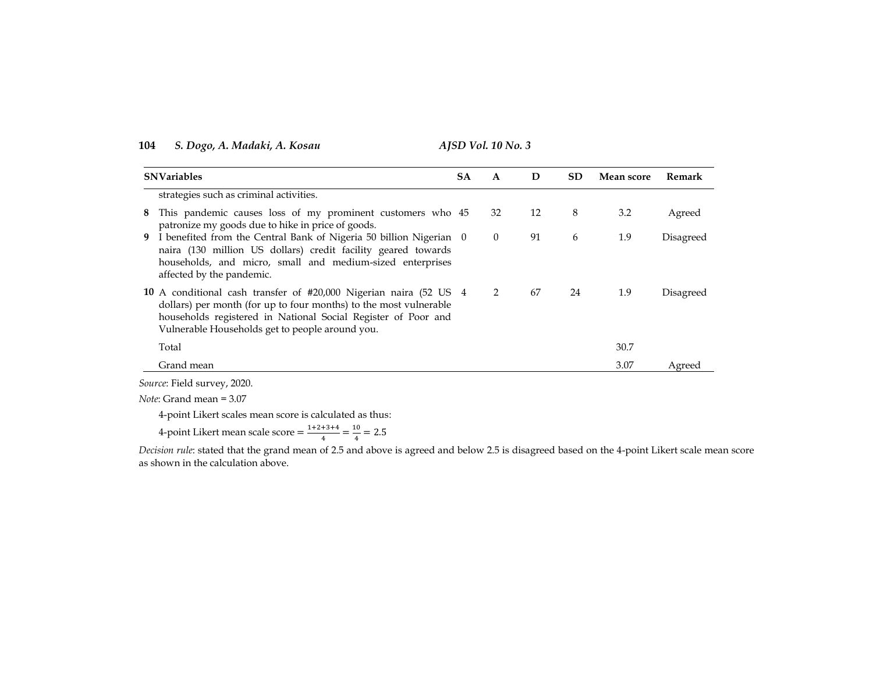| <b>SA</b> | A                                                                                                                                                                                                                                                                                                                                                                                                                                                                           |    | SD.<br>D<br>Mean score | Remark |           |
|-----------|-----------------------------------------------------------------------------------------------------------------------------------------------------------------------------------------------------------------------------------------------------------------------------------------------------------------------------------------------------------------------------------------------------------------------------------------------------------------------------|----|------------------------|--------|-----------|
|           |                                                                                                                                                                                                                                                                                                                                                                                                                                                                             |    |                        |        |           |
|           | 32                                                                                                                                                                                                                                                                                                                                                                                                                                                                          | 12 | 8                      | 3.2    | Agreed    |
|           | $\theta$                                                                                                                                                                                                                                                                                                                                                                                                                                                                    | 91 | 6                      | 1.9    | Disagreed |
|           | 2                                                                                                                                                                                                                                                                                                                                                                                                                                                                           | 67 | 24                     | 1.9    | Disagreed |
|           |                                                                                                                                                                                                                                                                                                                                                                                                                                                                             |    |                        | 30.7   |           |
|           |                                                                                                                                                                                                                                                                                                                                                                                                                                                                             |    |                        | 3.07   | Agreed    |
|           | This pandemic causes loss of my prominent customers who 45<br>9 I benefited from the Central Bank of Nigeria 50 billion Nigerian 0<br>naira (130 million US dollars) credit facility geared towards<br>households, and micro, small and medium-sized enterprises<br>10 A conditional cash transfer of #20,000 Nigerian naira (52 US 4<br>dollars) per month (for up to four months) to the most vulnerable<br>households registered in National Social Register of Poor and |    |                        |        |           |

*Source*: Field survey, 2020.

*Note*: Grand mean = 3.07

4-point Likert scales mean score is calculated as thus:

4-point Likert mean scale score  $=$   $\frac{1}{2}$  $\frac{+3+4}{4} = \frac{1}{4}$  $\frac{10}{4}$  =

*Decision rule*: stated that the grand mean of 2.5 and above is agreed and below 2.5 is disagreed based on the 4-point Likert scale mean score as shown in the calculation above.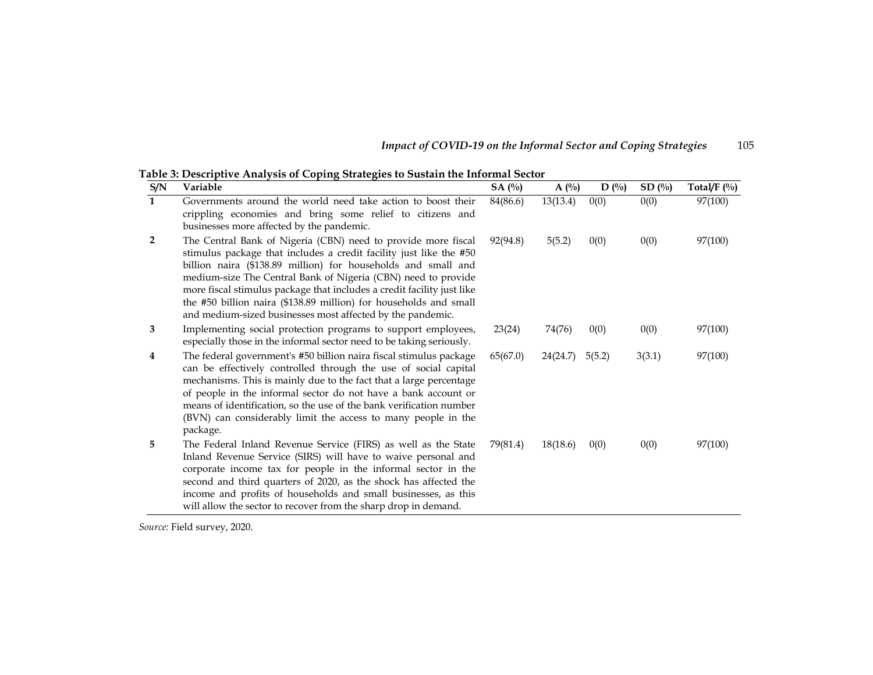| Impact of COVID-19 on the Informal Sector and Coping Strategies | 105 |
|-----------------------------------------------------------------|-----|
|                                                                 |     |

**Table 3: Descriptive Analysis of Coping Strategies to Sustain the Informal Sector** 

| S/N          | Variable                                                                                                                                                                                                                                                                                                                                                                                                                                                                           | SA(%)    | $A(^{0}/_{0})$ | $D($ %) | SD(%)  | Total/ $F($ %) |
|--------------|------------------------------------------------------------------------------------------------------------------------------------------------------------------------------------------------------------------------------------------------------------------------------------------------------------------------------------------------------------------------------------------------------------------------------------------------------------------------------------|----------|----------------|---------|--------|----------------|
| $\mathbf{1}$ | Governments around the world need take action to boost their<br>crippling economies and bring some relief to citizens and<br>businesses more affected by the pandemic.                                                                                                                                                                                                                                                                                                             | 84(86.6) | 13(13.4)       | 0(0)    | 0(0)   | 97(100)        |
| 2            | The Central Bank of Nigeria (CBN) need to provide more fiscal<br>stimulus package that includes a credit facility just like the #50<br>billion naira (\$138.89 million) for households and small and<br>medium-size The Central Bank of Nigeria (CBN) need to provide<br>more fiscal stimulus package that includes a credit facility just like<br>the #50 billion naira (\$138.89 million) for households and small<br>and medium-sized businesses most affected by the pandemic. | 92(94.8) | 5(5.2)         | 0(0)    | 0(0)   | 97(100)        |
| 3            | Implementing social protection programs to support employees,<br>especially those in the informal sector need to be taking seriously.                                                                                                                                                                                                                                                                                                                                              | 23(24)   | 74(76)         | 0(0)    | 0(0)   | 97(100)        |
| 4            | The federal government's #50 billion naira fiscal stimulus package<br>can be effectively controlled through the use of social capital<br>mechanisms. This is mainly due to the fact that a large percentage<br>of people in the informal sector do not have a bank account or<br>means of identification, so the use of the bank verification number<br>(BVN) can considerably limit the access to many people in the<br>package.                                                  | 65(67.0) | 24(24.7)       | 5(5.2)  | 3(3.1) | 97(100)        |
| 5            | The Federal Inland Revenue Service (FIRS) as well as the State<br>Inland Revenue Service (SIRS) will have to waive personal and<br>corporate income tax for people in the informal sector in the<br>second and third quarters of 2020, as the shock has affected the<br>income and profits of households and small businesses, as this<br>will allow the sector to recover from the sharp drop in demand.                                                                          | 79(81.4) | 18(18.6)       | 0(0)    | 0(0)   | 97(100)        |

*Source:* Field survey, 2020.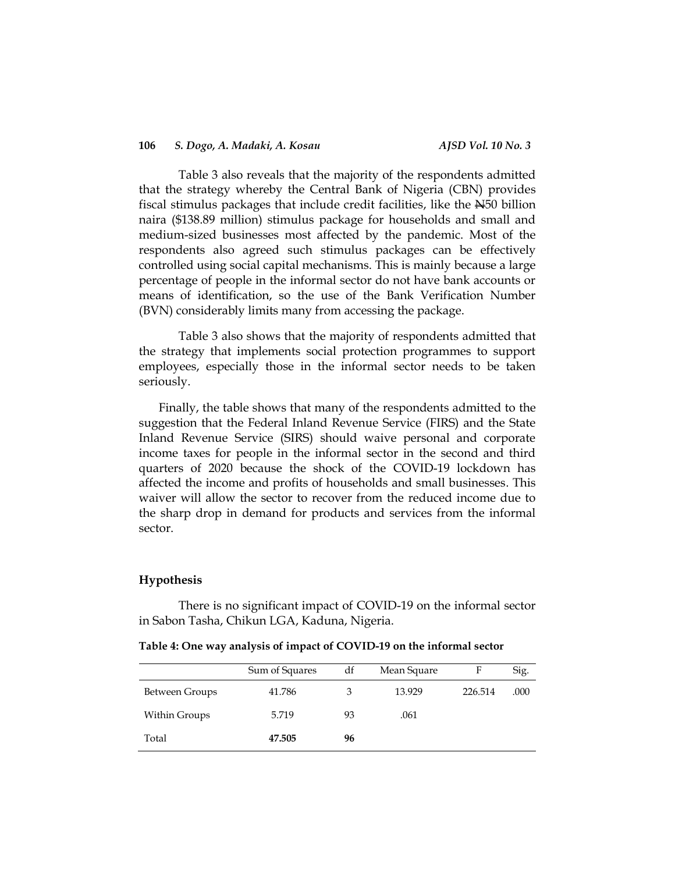Table 3 also reveals that the majority of the respondents admitted that the strategy whereby the Central Bank of Nigeria (CBN) provides fiscal stimulus packages that include credit facilities, like the N50 billion naira (\$138.89 million) stimulus package for households and small and medium-sized businesses most affected by the pandemic. Most of the respondents also agreed such stimulus packages can be effectively controlled using social capital mechanisms. This is mainly because a large percentage of people in the informal sector do not have bank accounts or means of identification, so the use of the Bank Verification Number (BVN) considerably limits many from accessing the package.

Table 3 also shows that the majority of respondents admitted that the strategy that implements social protection programmes to support employees, especially those in the informal sector needs to be taken seriously.

Finally, the table shows that many of the respondents admitted to the suggestion that the Federal Inland Revenue Service (FIRS) and the State Inland Revenue Service (SIRS) should waive personal and corporate income taxes for people in the informal sector in the second and third quarters of 2020 because the shock of the COVID-19 lockdown has affected the income and profits of households and small businesses. This waiver will allow the sector to recover from the reduced income due to the sharp drop in demand for products and services from the informal sector.

### **Hypothesis**

There is no significant impact of COVID-19 on the informal sector in Sabon Tasha, Chikun LGA, Kaduna, Nigeria.

**Table 4: One way analysis of impact of COVID-19 on the informal sector** 

|                | Sum of Squares | df | Mean Square |         | Sig. |
|----------------|----------------|----|-------------|---------|------|
| Between Groups | 41.786         | 3  | 13.929      | 226.514 | .000 |
| Within Groups  | 5.719          | 93 | .061        |         |      |
| Total          | 47.505         | 96 |             |         |      |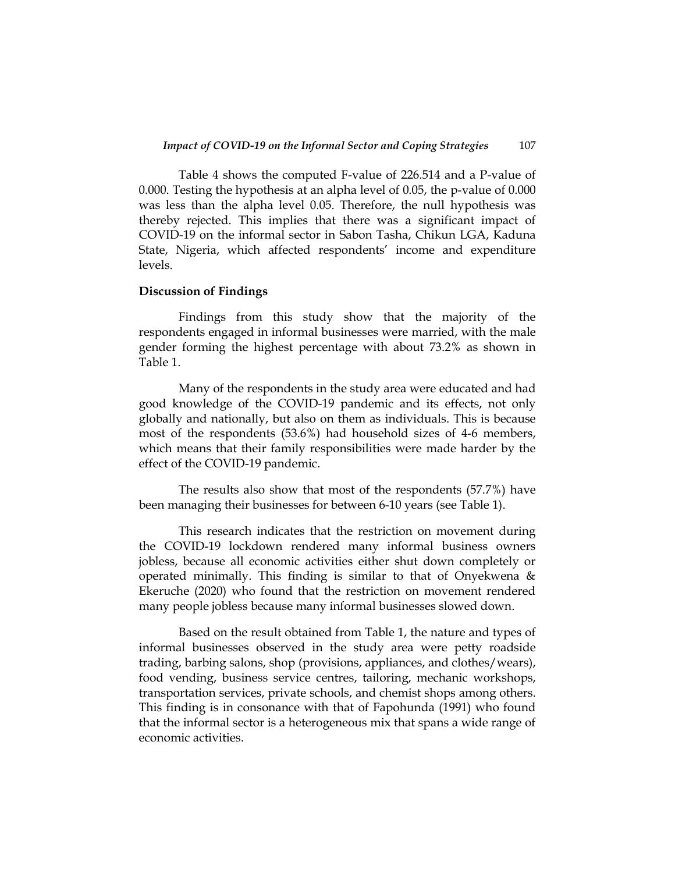Table 4 shows the computed F-value of 226.514 and a P-value of 0.000. Testing the hypothesis at an alpha level of 0.05, the p-value of 0.000 was less than the alpha level 0.05. Therefore, the null hypothesis was thereby rejected. This implies that there was a significant impact of COVID-19 on the informal sector in Sabon Tasha, Chikun LGA, Kaduna State, Nigeria, which affected respondents' income and expenditure levels.

### **Discussion of Findings**

Findings from this study show that the majority of the respondents engaged in informal businesses were married, with the male gender forming the highest percentage with about 73.2% as shown in Table 1.

Many of the respondents in the study area were educated and had good knowledge of the COVID-19 pandemic and its effects, not only globally and nationally, but also on them as individuals. This is because most of the respondents (53.6%) had household sizes of 4-6 members, which means that their family responsibilities were made harder by the effect of the COVID-19 pandemic.

The results also show that most of the respondents (57.7%) have been managing their businesses for between 6-10 years (see Table 1).

This research indicates that the restriction on movement during the COVID-19 lockdown rendered many informal business owners jobless, because all economic activities either shut down completely or operated minimally. This finding is similar to that of Onyekwena  $\&$ Ekeruche (2020) who found that the restriction on movement rendered many people jobless because many informal businesses slowed down.

Based on the result obtained from Table 1, the nature and types of informal businesses observed in the study area were petty roadside trading, barbing salons, shop (provisions, appliances, and clothes/wears), food vending, business service centres, tailoring, mechanic workshops, transportation services, private schools, and chemist shops among others. This finding is in consonance with that of Fapohunda (1991) who found that the informal sector is a heterogeneous mix that spans a wide range of economic activities.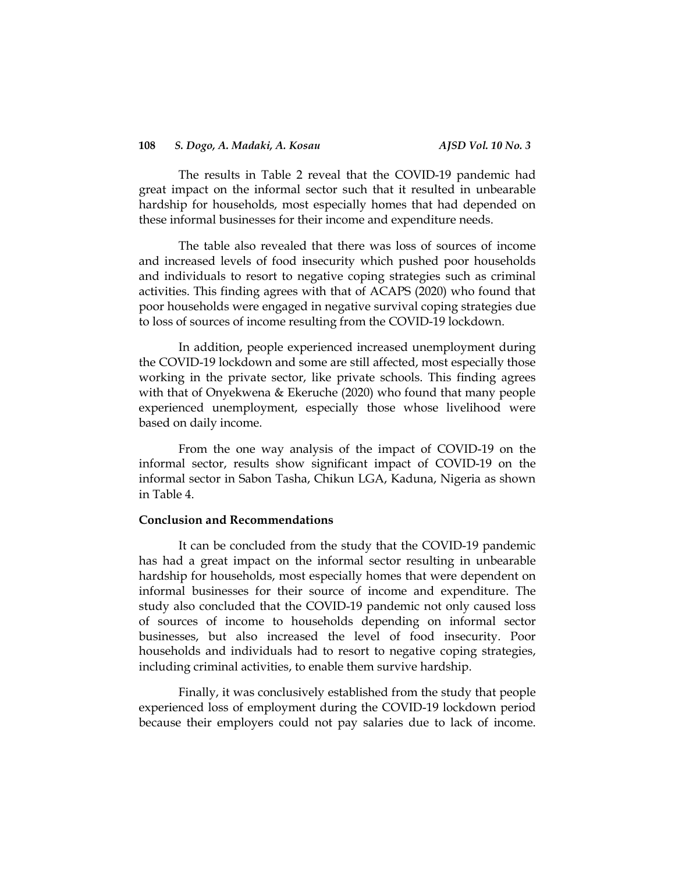The results in Table 2 reveal that the COVID-19 pandemic had great impact on the informal sector such that it resulted in unbearable hardship for households, most especially homes that had depended on these informal businesses for their income and expenditure needs.

The table also revealed that there was loss of sources of income and increased levels of food insecurity which pushed poor households and individuals to resort to negative coping strategies such as criminal activities. This finding agrees with that of ACAPS (2020) who found that poor households were engaged in negative survival coping strategies due to loss of sources of income resulting from the COVID-19 lockdown.

In addition, people experienced increased unemployment during the COVID-19 lockdown and some are still affected, most especially those working in the private sector, like private schools. This finding agrees with that of Onyekwena & Ekeruche (2020) who found that many people experienced unemployment, especially those whose livelihood were based on daily income.

From the one way analysis of the impact of COVID-19 on the informal sector, results show significant impact of COVID-19 on the informal sector in Sabon Tasha, Chikun LGA, Kaduna, Nigeria as shown in Table 4.

### **Conclusion and Recommendations**

It can be concluded from the study that the COVID-19 pandemic has had a great impact on the informal sector resulting in unbearable hardship for households, most especially homes that were dependent on informal businesses for their source of income and expenditure. The study also concluded that the COVID-19 pandemic not only caused loss of sources of income to households depending on informal sector businesses, but also increased the level of food insecurity. Poor households and individuals had to resort to negative coping strategies, including criminal activities, to enable them survive hardship.

Finally, it was conclusively established from the study that people experienced loss of employment during the COVID-19 lockdown period because their employers could not pay salaries due to lack of income.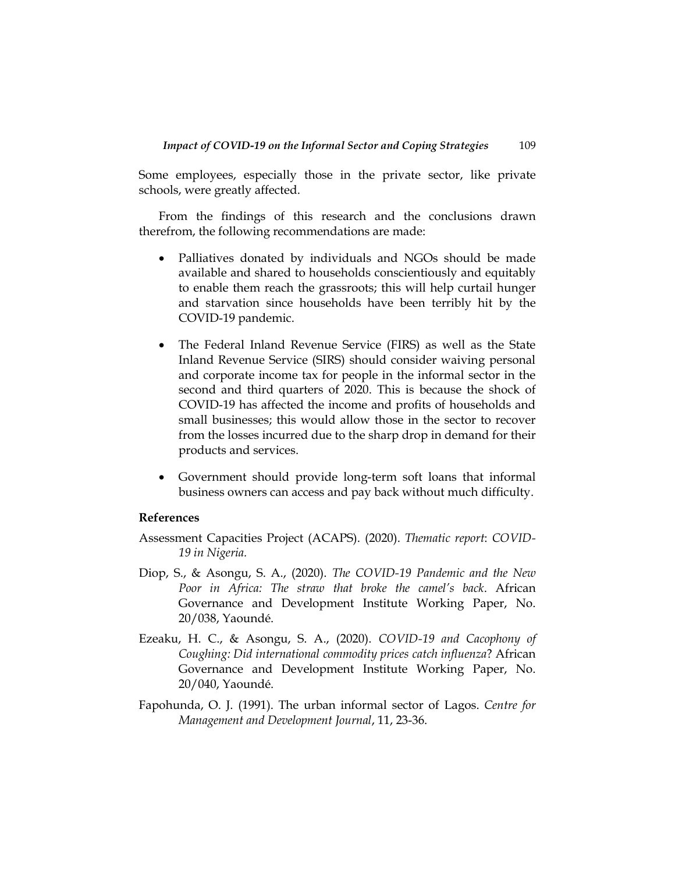Some employees, especially those in the private sector, like private schools, were greatly affected.

From the findings of this research and the conclusions drawn therefrom, the following recommendations are made:

- Palliatives donated by individuals and NGOs should be made available and shared to households conscientiously and equitably to enable them reach the grassroots; this will help curtail hunger and starvation since households have been terribly hit by the COVID-19 pandemic.
- The Federal Inland Revenue Service (FIRS) as well as the State Inland Revenue Service (SIRS) should consider waiving personal and corporate income tax for people in the informal sector in the second and third quarters of 2020. This is because the shock of COVID-19 has affected the income and profits of households and small businesses; this would allow those in the sector to recover from the losses incurred due to the sharp drop in demand for their products and services.
- Government should provide long-term soft loans that informal business owners can access and pay back without much difficulty.

# **References**

Assessment Capacities Project (ACAPS). (2020). *Thematic report*: *COVID-19 in Nigeria.*

- Diop, S., & Asongu, S. A., (2020). *The COVID-19 Pandemic and the New Poor in Africa: The straw that broke the camel's back*. African Governance and Development Institute Working Paper, No. 20/038, Yaoundé.
- Ezeaku, H. C., & Asongu, S. A., (2020). *COVID-19 and Cacophony of Coughing: Did international commodity prices catch influenza*? African Governance and Development Institute Working Paper, No. 20/040, Yaoundé.
- Fapohunda, O. J. (1991). The urban informal sector of Lagos. *Centre for Management and Development Journal*, 11, 23-36.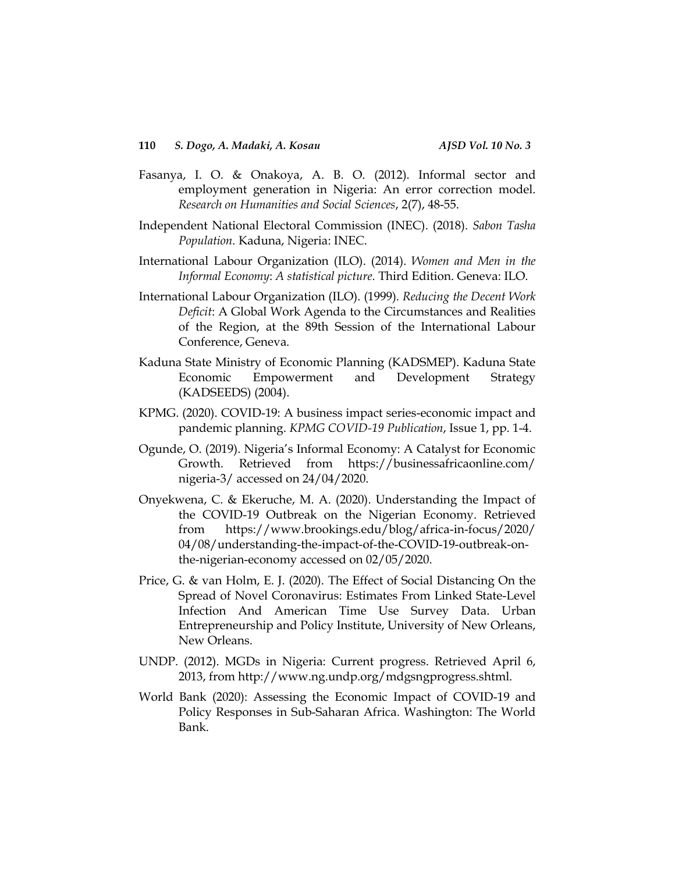- Fasanya, I. O. & Onakoya, A. B. O. (2012). Informal sector and employment generation in Nigeria: An error correction model. *Research on Humanities and Social Sciences*, 2(7), 48-55.
- Independent National Electoral Commission (INEC). (2018). *Sabon Tasha Population.* Kaduna, Nigeria: INEC.
- International Labour Organization (ILO). (2014). *Women and Men in the Informal Economy*: *A statistical picture.* Third Edition. Geneva: ILO.
- International Labour Organization (ILO). (1999). *Reducing the Decent Work Deficit*: A Global Work Agenda to the Circumstances and Realities of the Region, at the 89th Session of the International Labour Conference, Geneva.
- Kaduna State Ministry of Economic Planning (KADSMEP). Kaduna State Economic Empowerment and Development Strategy (KADSEEDS) (2004).
- KPMG. (2020). COVID-19: A business impact series-economic impact and pandemic planning. *KPMG COVID-19 Publication*, Issue 1, pp. 1-4.
- Ogunde, O. (2019). Nigeria's Informal Economy: A Catalyst for Economic Growth. Retrieved from <https://businessafricaonline.com/> nigeria-3/ accessed on 24/04/2020.
- Onyekwena, C. & Ekeruche, M. A. (2020). Understanding the Impact of the COVID-19 Outbreak on the Nigerian Economy. Retrieved from [https://www.brookings.edu/blog/africa-in-focus/2020/](https://www.brookings.edu/blog/africa-in-focus/2020/%2004/08/understanding-the-impact-of-the-COVID-19-outbreak-on-the-nigerian-economy%20accessed%20on%2002/05/2020)  [04/08/understanding-the-impact-of-the-COVID-19-outbreak-on](https://www.brookings.edu/blog/africa-in-focus/2020/%2004/08/understanding-the-impact-of-the-COVID-19-outbreak-on-the-nigerian-economy%20accessed%20on%2002/05/2020)[the-nigerian-economy accessed on 02/05/2020.](https://www.brookings.edu/blog/africa-in-focus/2020/%2004/08/understanding-the-impact-of-the-COVID-19-outbreak-on-the-nigerian-economy%20accessed%20on%2002/05/2020)
- Price, G. & van Holm, E. J. (2020). The Effect of Social Distancing On the Spread of Novel Coronavirus: Estimates From Linked State-Level Infection And American Time Use Survey Data. Urban Entrepreneurship and Policy Institute, University of New Orleans, New Orleans.
- UNDP. (2012). MGDs in Nigeria: Current progress. Retrieved April 6, 2013, from http://www.ng.undp.org/mdgsngprogress.shtml.
- World Bank (2020): Assessing the Economic Impact of COVID-19 and Policy Responses in Sub-Saharan Africa. Washington: The World Bank.